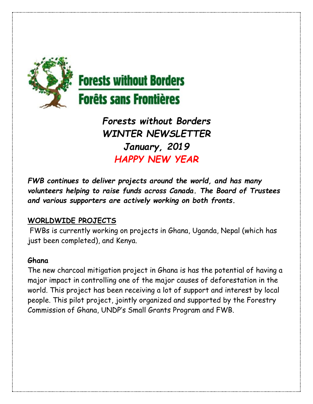

# **Forests without Borders Forêts sans Frontières**

*Forests without Borders WINTER NEWSLETTER January, 2019 HAPPY NEW YEAR*

*FWB continues to deliver projects around the world, and has many volunteers helping to raise funds across Canada. The Board of Trustees and various supporters are actively working on both fronts.* 

## **WORLDWIDE PROJECTS**

FWBs is currently working on projects in Ghana, Uganda, Nepal (which has just been completed), and Kenya.

## **Ghana**

The new charcoal mitigation project in Ghana is has the potential of having a major impact in controlling one of the major causes of deforestation in the world. This project has been receiving a lot of support and interest by local people. This pilot project, jointly organized and supported by the Forestry Commission of Ghana, UNDP's Small Grants Program and FWB.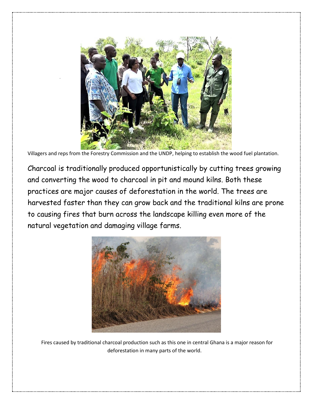

Villagers and reps from the Forestry Commission and the UNDP, helping to establish the wood fuel plantation.

Charcoal is traditionally produced opportunistically by cutting trees growing and converting the wood to charcoal in pit and mound kilns. Both these practices are major causes of deforestation in the world. The trees are harvested faster than they can grow back and the traditional kilns are prone to causing fires that burn across the landscape killing even more of the natural vegetation and damaging village farms.



Fires caused by traditional charcoal production such as this one in central Ghana is a major reason for deforestation in many parts of the world.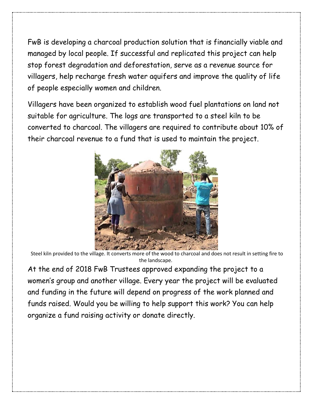FwB is developing a charcoal production solution that is financially viable and managed by local people. If successful and replicated this project can help stop forest degradation and deforestation, serve as a revenue source for villagers, help recharge fresh water aquifers and improve the quality of life of people especially women and children.

Villagers have been organized to establish wood fuel plantations on land not suitable for agriculture. The logs are transported to a steel kiln to be converted to charcoal. The villagers are required to contribute about 10% of their charcoal revenue to a fund that is used to maintain the project.



Steel kiln provided to the village. It converts more of the wood to charcoal and does not result in setting fire to the landscape.

At the end of 2018 FwB Trustees approved expanding the project to a women's group and another village. Every year the project will be evaluated and funding in the future will depend on progress of the work planned and funds raised. Would you be willing to help support this work? You can help organize a fund raising activity or donate directly.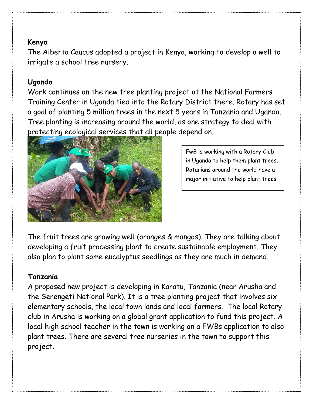#### **Kenya**

The Alberta Caucus adopted a project in Kenya, working to develop a well to irrigate a school tree nursery.

#### **Uganda**

Work continues on the new tree planting project at the National Farmers Training Center in Uganda tied into the Rotary District there. Rotary has set a goal of planting 5 million trees in the next 5 years in Tanzania and Uganda. Tree planting is increasing around the world, as one strategy to deal with protecting ecological services that all people depend on.



FwB is working with a Rotary Club in Uganda to help them plant trees. Rotarians around the world have a major initiative to help plant trees.

The fruit trees are growing well (oranges & mangos). They are talking about developing a fruit processing plant to create sustainable employment. They also plan to plant some eucalyptus seedlings as they are much in demand.

## **Tanzania**

A proposed new project is developing in Karatu, Tanzania (near Arusha and the Serengeti National Park). It is a tree planting project that involves six elementary schools, the local town lands and local farmers. The local Rotary club in Arusha is working on a global grant application to fund this project. A local high school teacher in the town is working on a FWBs application to also plant trees. There are several tree nurseries in the town to support this project.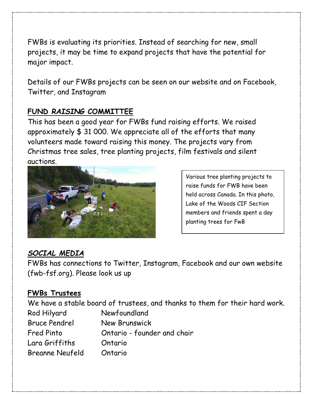FWBs is evaluating its priorities. Instead of searching for new, small projects, it may be time to expand projects that have the potential for major impact.

Details of our FWBs projects can be seen on our website and on Facebook, Twitter, and Instagram

#### **FUND** *RAISING* **COMMITTEE**

This has been a good year for FWBs fund raising efforts. We raised approximately \$ 31 000. We appreciate all of the efforts that many volunteers made toward raising this money. The projects vary from Christmas tree sales, tree planting projects, film festivals and silent auctions.



Various tree planting projects to raise funds for FWB have been held across Canada. In this photo, Lake of the Woods CIF Section members and friends spent a day planting trees for FwB

## *SOCIAL MEDIA*

FWBs has connections to Twitter, Instagram, Facebook and our own website (fwb-fsf.org). Please look us up

## **FWBs Trustees**

We have a stable board of trustees, and thanks to them for their hard work. Rod Hilyard Newfoundland Bruce Pendrel New Brunswick Fred Pinto **Changeler** Contario - founder and chair Lara Griffiths Ontario Breanne Neufeld Ontario